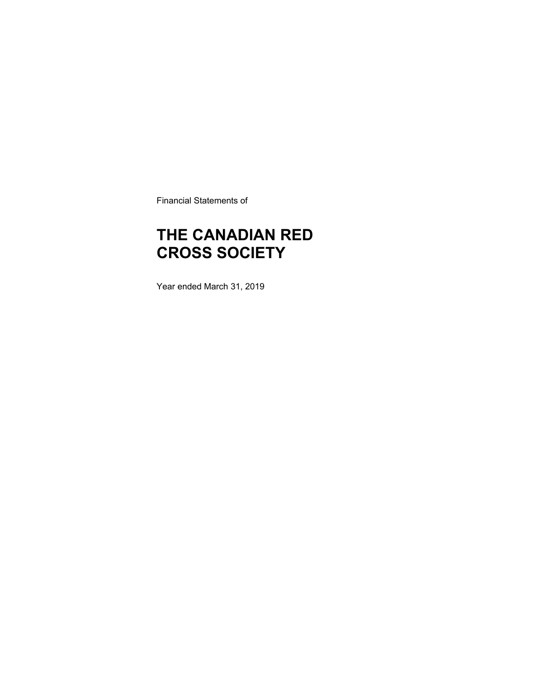Financial Statements of

### **THE CANADIAN RED CROSS SOCIETY**

Year ended March 31, 2019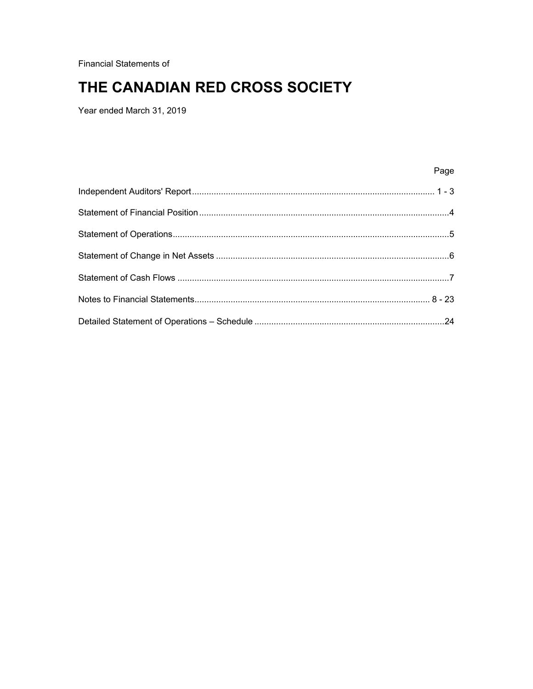**Financial Statements of** 

### THE CANADIAN RED CROSS SOCIETY

Year ended March 31, 2019

Page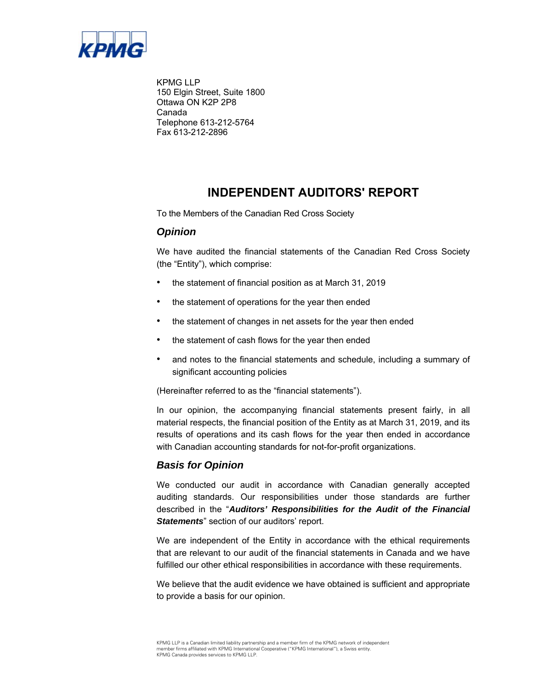

KPMG LLP 150 Elgin Street, Suite 1800 Ottawa ON K2P 2P8 Canada Telephone 613-212-5764 Fax 613-212-2896

### **INDEPENDENT AUDITORS' REPORT**

To the Members of the Canadian Red Cross Society

### *Opinion*

We have audited the financial statements of the Canadian Red Cross Society (the "Entity"), which comprise:

- the statement of financial position as at March 31, 2019
- the statement of operations for the year then ended
- the statement of changes in net assets for the year then ended
- the statement of cash flows for the year then ended
- and notes to the financial statements and schedule, including a summary of significant accounting policies

(Hereinafter referred to as the "financial statements").

In our opinion, the accompanying financial statements present fairly, in all material respects, the financial position of the Entity as at March 31, 2019, and its results of operations and its cash flows for the year then ended in accordance with Canadian accounting standards for not-for-profit organizations.

### *Basis for Opinion*

We conducted our audit in accordance with Canadian generally accepted auditing standards. Our responsibilities under those standards are further described in the "*Auditors' Responsibilities for the Audit of the Financial Statements*" section of our auditors' report.

We are independent of the Entity in accordance with the ethical requirements that are relevant to our audit of the financial statements in Canada and we have fulfilled our other ethical responsibilities in accordance with these requirements.

We believe that the audit evidence we have obtained is sufficient and appropriate to provide a basis for our opinion.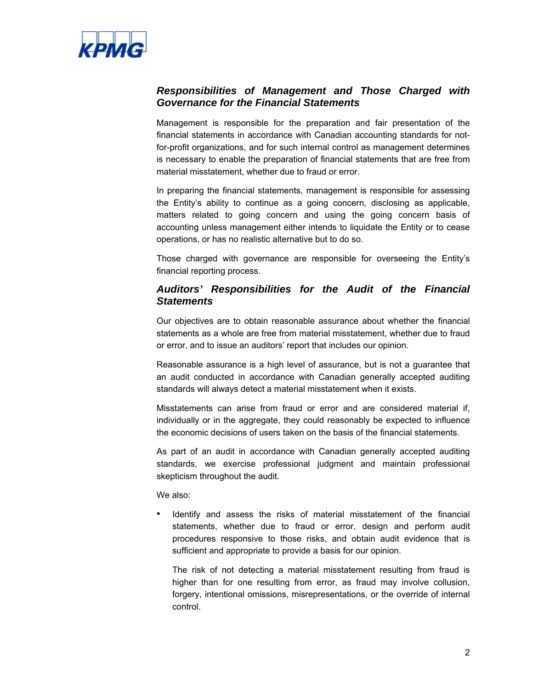

### *Responsibilities of Management and Those Charged with Governance for the Financial Statements*

Management is responsible for the preparation and fair presentation of the financial statements in accordance with Canadian accounting standards for notfor-profit organizations, and for such internal control as management determines is necessary to enable the preparation of financial statements that are free from material misstatement, whether due to fraud or error.

In preparing the financial statements, management is responsible for assessing the Entity's ability to continue as a going concern, disclosing as applicable, matters related to going concern and using the going concern basis of accounting unless management either intends to liquidate the Entity or to cease operations, or has no realistic alternative but to do so.

Those charged with governance are responsible for overseeing the Entity's financial reporting process.

### *Auditors' Responsibilities for the Audit of the Financial Statements*

Our objectives are to obtain reasonable assurance about whether the financial statements as a whole are free from material misstatement, whether due to fraud or error, and to issue an auditors' report that includes our opinion.

Reasonable assurance is a high level of assurance, but is not a guarantee that an audit conducted in accordance with Canadian generally accepted auditing standards will always detect a material misstatement when it exists.

Misstatements can arise from fraud or error and are considered material if, individually or in the aggregate, they could reasonably be expected to influence the economic decisions of users taken on the basis of the financial statements.

As part of an audit in accordance with Canadian generally accepted auditing standards, we exercise professional judgment and maintain professional skepticism throughout the audit.

We also:

• Identify and assess the risks of material misstatement of the financial statements, whether due to fraud or error, design and perform audit procedures responsive to those risks, and obtain audit evidence that is sufficient and appropriate to provide a basis for our opinion.

The risk of not detecting a material misstatement resulting from fraud is higher than for one resulting from error, as fraud may involve collusion, forgery, intentional omissions, misrepresentations, or the override of internal control.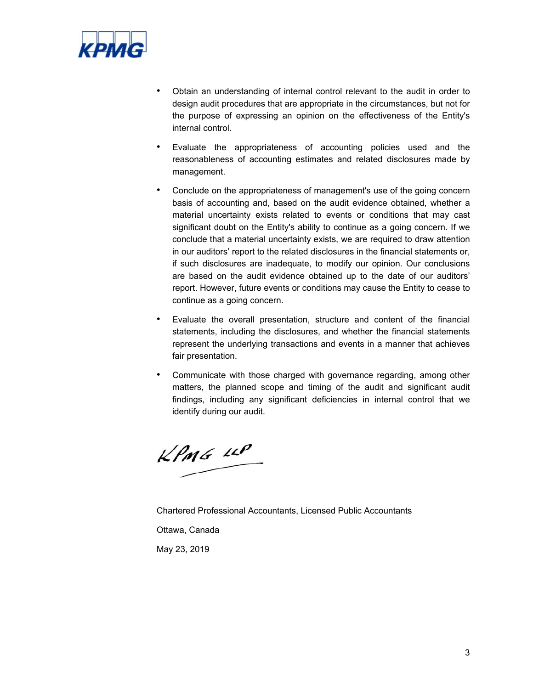

- Obtain an understanding of internal control relevant to the audit in order to design audit procedures that are appropriate in the circumstances, but not for the purpose of expressing an opinion on the effectiveness of the Entity's internal control.
- Evaluate the appropriateness of accounting policies used and the reasonableness of accounting estimates and related disclosures made by management.
- Conclude on the appropriateness of management's use of the going concern basis of accounting and, based on the audit evidence obtained, whether a material uncertainty exists related to events or conditions that may cast significant doubt on the Entity's ability to continue as a going concern. If we conclude that a material uncertainty exists, we are required to draw attention in our auditors' report to the related disclosures in the financial statements or, if such disclosures are inadequate, to modify our opinion. Our conclusions are based on the audit evidence obtained up to the date of our auditors' report. However, future events or conditions may cause the Entity to cease to continue as a going concern.
- Evaluate the overall presentation, structure and content of the financial statements, including the disclosures, and whether the financial statements represent the underlying transactions and events in a manner that achieves fair presentation.
- Communicate with those charged with governance regarding, among other matters, the planned scope and timing of the audit and significant audit findings, including any significant deficiencies in internal control that we identify during our audit.

 $KPMG$  LLP

Chartered Professional Accountants, Licensed Public Accountants

Ottawa, Canada

May 23, 2019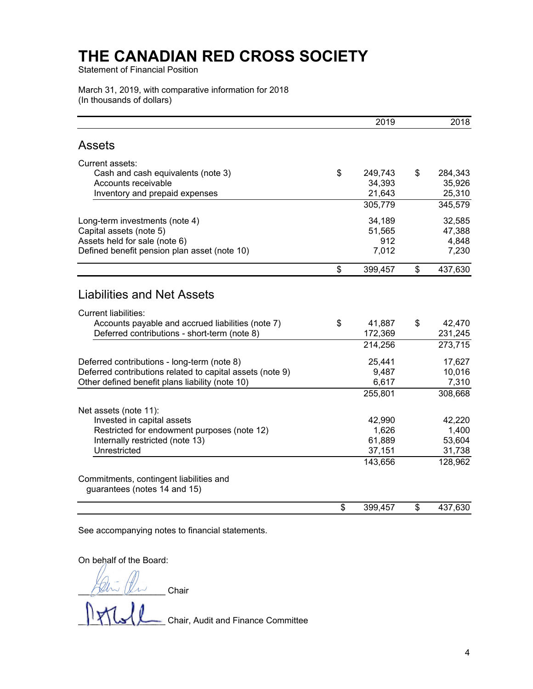Statement of Financial Position

March 31, 2019, with comparative information for 2018 (In thousands of dollars)

|                                                                         | 2019          | 2018          |
|-------------------------------------------------------------------------|---------------|---------------|
| <b>Assets</b>                                                           |               |               |
| Current assets:                                                         |               |               |
| Cash and cash equivalents (note 3)                                      | \$<br>249,743 | \$<br>284,343 |
| Accounts receivable                                                     | 34,393        | 35,926        |
| Inventory and prepaid expenses                                          | 21,643        | 25,310        |
|                                                                         | 305,779       | 345,579       |
| Long-term investments (note 4)                                          | 34,189        | 32,585        |
| Capital assets (note 5)                                                 | 51,565        | 47,388        |
| Assets held for sale (note 6)                                           | 912           | 4,848         |
| Defined benefit pension plan asset (note 10)                            | 7,012         | 7,230         |
|                                                                         | \$<br>399,457 | \$<br>437,630 |
| <b>Liabilities and Net Assets</b>                                       |               |               |
| <b>Current liabilities:</b>                                             |               |               |
| Accounts payable and accrued liabilities (note 7)                       | \$<br>41,887  | \$<br>42,470  |
| Deferred contributions - short-term (note 8)                            | 172,369       | 231,245       |
|                                                                         | 214,256       | 273,715       |
| Deferred contributions - long-term (note 8)                             | 25,441        | 17,627        |
| Deferred contributions related to capital assets (note 9)               | 9,487         | 10,016        |
| Other defined benefit plans liability (note 10)                         | 6,617         | 7,310         |
|                                                                         | 255,801       | 308,668       |
| Net assets (note 11):                                                   |               |               |
| Invested in capital assets                                              | 42,990        | 42,220        |
| Restricted for endowment purposes (note 12)                             | 1,626         | 1,400         |
| Internally restricted (note 13)                                         | 61,889        | 53,604        |
| Unrestricted                                                            | 37,151        | 31,738        |
|                                                                         | 143,656       | 128,962       |
| Commitments, contingent liabilities and<br>guarantees (notes 14 and 15) |               |               |
|                                                                         | \$<br>399,457 | \$<br>437,630 |

See accompanying notes to financial statements.

On behalf of the Board:

\_\_\_\_\_\_\_\_\_\_\_\_\_\_\_\_\_\_ Chair

\_\_\_\_\_\_\_\_\_\_\_\_\_\_\_\_\_\_ Chair, Audit and Finance Committee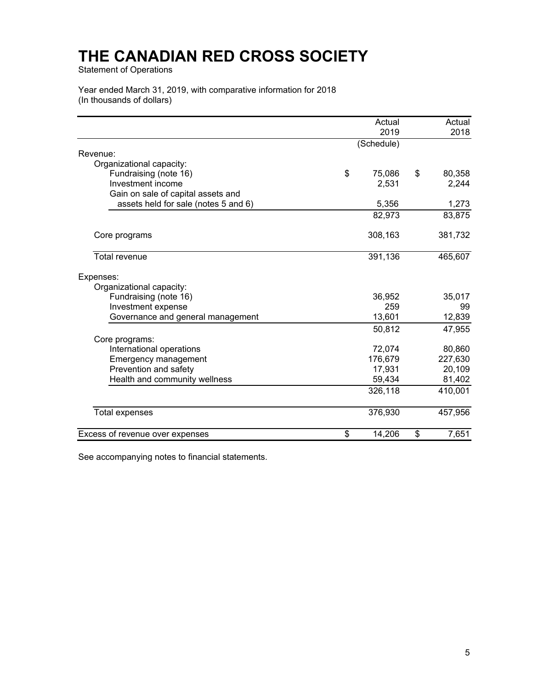Statement of Operations

Year ended March 31, 2019, with comparative information for 2018 (In thousands of dollars)

|                                      | Actual<br>2019 | Actual<br>2018 |
|--------------------------------------|----------------|----------------|
|                                      | (Schedule)     |                |
| Revenue:                             |                |                |
| Organizational capacity:             |                |                |
| Fundraising (note 16)                | \$<br>75,086   | \$<br>80,358   |
| Investment income                    | 2,531          | 2,244          |
| Gain on sale of capital assets and   |                |                |
| assets held for sale (notes 5 and 6) | 5,356          | 1,273          |
|                                      | 82,973         | 83,875         |
| Core programs                        | 308,163        | 381,732        |
| <b>Total revenue</b>                 | 391,136        | 465,607        |
| Expenses:                            |                |                |
| Organizational capacity:             |                |                |
| Fundraising (note 16)                | 36,952         | 35,017         |
| Investment expense                   | 259            | 99             |
| Governance and general management    | 13,601         | 12,839         |
|                                      | 50,812         | 47,955         |
| Core programs:                       |                |                |
| International operations             | 72,074         | 80,860         |
| <b>Emergency management</b>          | 176,679        | 227,630        |
| Prevention and safety                | 17,931         | 20,109         |
| Health and community wellness        | 59,434         | 81,402         |
|                                      | 326,118        | 410,001        |
| <b>Total expenses</b>                | 376,930        | 457,956        |
| Excess of revenue over expenses      | \$<br>14,206   | \$<br>7,651    |

See accompanying notes to financial statements.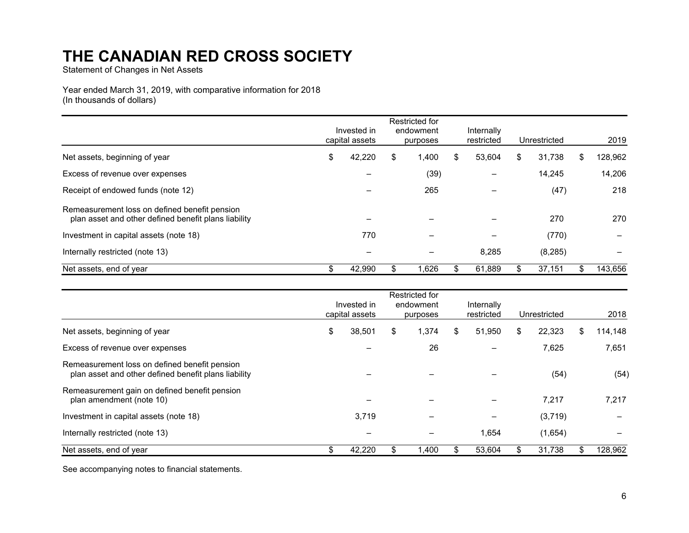Statement of Changes in Net Assets

Year ended March 31, 2019, with comparative information for 2018 (In thousands of dollars)

|                                                                                                       | Invested in<br>capital assets | Restricted for<br>endowment<br>purposes | Internally<br>restricted | Unrestricted |     | 2019    |
|-------------------------------------------------------------------------------------------------------|-------------------------------|-----------------------------------------|--------------------------|--------------|-----|---------|
| Net assets, beginning of year                                                                         | \$<br>42,220                  | \$<br>1,400                             | \$<br>53,604             | \$<br>31,738 | \$  | 128,962 |
| Excess of revenue over expenses                                                                       |                               | (39)                                    |                          | 14.245       |     | 14,206  |
| Receipt of endowed funds (note 12)                                                                    |                               | 265                                     |                          | (47)         |     | 218     |
| Remeasurement loss on defined benefit pension<br>plan asset and other defined benefit plans liability |                               |                                         |                          | 270          |     | 270     |
| Investment in capital assets (note 18)                                                                | 770                           |                                         |                          | (770)        |     |         |
| Internally restricted (note 13)                                                                       | -                             |                                         | 8,285                    | (8, 285)     |     |         |
| Net assets, end of year                                                                               | 42,990                        | 1,626                                   | 61,889                   | 37,151       | \$. | 143,656 |

|                                                                                                       | Invested in<br>capital assets | Restricted for<br>endowment<br>purposes | Internally<br>restricted | Unrestricted | 2018          |
|-------------------------------------------------------------------------------------------------------|-------------------------------|-----------------------------------------|--------------------------|--------------|---------------|
| Net assets, beginning of year                                                                         | \$<br>38,501                  | \$<br>1,374                             | \$<br>51,950             | \$<br>22,323 | \$<br>114,148 |
| Excess of revenue over expenses                                                                       |                               | 26                                      |                          | 7,625        | 7,651         |
| Remeasurement loss on defined benefit pension<br>plan asset and other defined benefit plans liability |                               |                                         |                          | (54)         | (54)          |
| Remeasurement gain on defined benefit pension<br>plan amendment (note 10)                             |                               |                                         |                          | 7,217        | 7,217         |
| Investment in capital assets (note 18)                                                                | 3,719                         |                                         |                          | (3,719)      |               |
| Internally restricted (note 13)                                                                       |                               |                                         | 1,654                    | (1,654)      |               |
| Net assets, end of year                                                                               | \$<br>42,220                  | .400                                    | 53,604                   | 31,738       | \$<br>128,962 |

See accompanying notes to financial statements.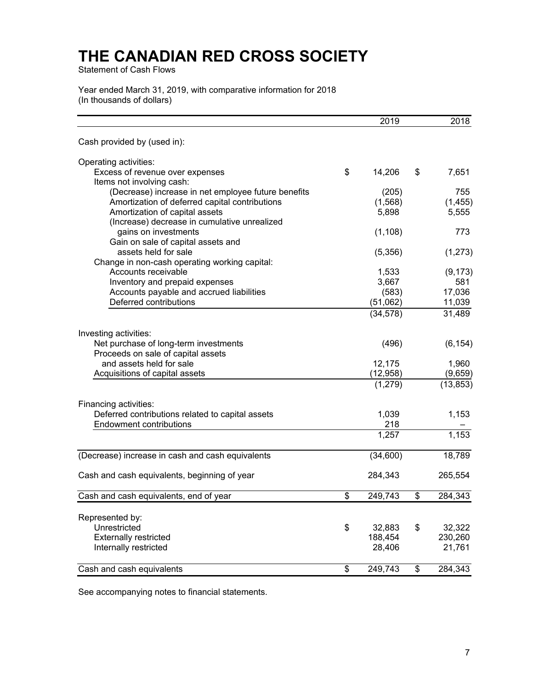Statement of Cash Flows

Year ended March 31, 2019, with comparative information for 2018 (In thousands of dollars)

|                                                     | 2019          | 2018          |
|-----------------------------------------------------|---------------|---------------|
| Cash provided by (used in):                         |               |               |
| Operating activities:                               |               |               |
| Excess of revenue over expenses                     | \$<br>14,206  | \$<br>7,651   |
| Items not involving cash:                           |               |               |
| (Decrease) increase in net employee future benefits | (205)         | 755           |
| Amortization of deferred capital contributions      | (1, 568)      | (1, 455)      |
| Amortization of capital assets                      | 5,898         | 5,555         |
| (Increase) decrease in cumulative unrealized        |               |               |
| gains on investments                                | (1, 108)      | 773           |
| Gain on sale of capital assets and                  |               |               |
| assets held for sale                                | (5,356)       | (1,273)       |
| Change in non-cash operating working capital:       |               |               |
| Accounts receivable                                 | 1,533         | (9, 173)      |
| Inventory and prepaid expenses                      | 3,667         | 581           |
| Accounts payable and accrued liabilities            | (583)         | 17,036        |
| Deferred contributions                              | (51,062)      | 11,039        |
|                                                     | (34, 578)     | 31,489        |
| Investing activities:                               |               |               |
| Net purchase of long-term investments               | (496)         | (6, 154)      |
| Proceeds on sale of capital assets                  |               |               |
| and assets held for sale                            | 12,175        | 1,960         |
| Acquisitions of capital assets                      | (12, 958)     | (9,659)       |
|                                                     | (1, 279)      | (13, 853)     |
|                                                     |               |               |
| Financing activities:                               |               |               |
| Deferred contributions related to capital assets    | 1,039         | 1,153         |
| <b>Endowment contributions</b>                      | 218           |               |
|                                                     | 1,257         | 1,153         |
| (Decrease) increase in cash and cash equivalents    | (34,600)      | 18,789        |
| Cash and cash equivalents, beginning of year        | 284,343       | 265,554       |
|                                                     |               |               |
| Cash and cash equivalents, end of year              | \$<br>249,743 | \$<br>284,343 |
|                                                     |               |               |
| Represented by:                                     |               |               |
| Unrestricted                                        | \$<br>32,883  | \$<br>32,322  |
| <b>Externally restricted</b>                        | 188,454       | 230,260       |
| Internally restricted                               | 28,406        | 21,761        |
| Cash and cash equivalents                           | \$<br>249,743 | \$<br>284,343 |

See accompanying notes to financial statements.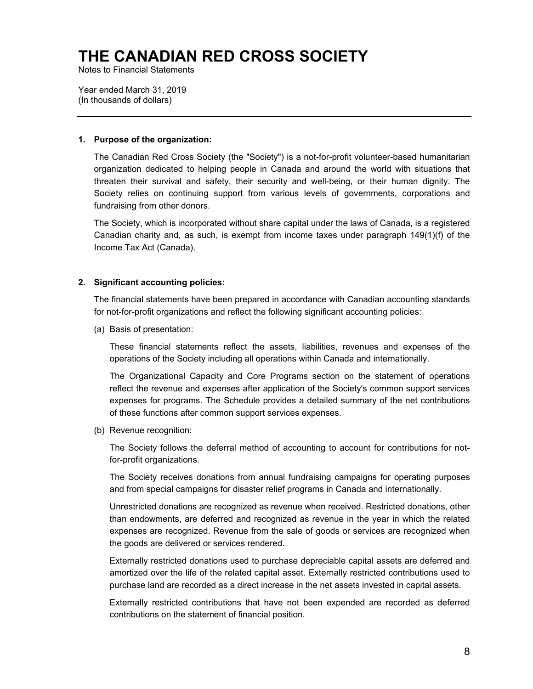Notes to Financial Statements

Year ended March 31, 2019 (In thousands of dollars)

#### **1. Purpose of the organization:**

The Canadian Red Cross Society (the "Society") is a not-for-profit volunteer-based humanitarian organization dedicated to helping people in Canada and around the world with situations that threaten their survival and safety, their security and well-being, or their human dignity. The Society relies on continuing support from various levels of governments, corporations and fundraising from other donors.

The Society, which is incorporated without share capital under the laws of Canada, is a registered Canadian charity and, as such, is exempt from income taxes under paragraph 149(1)(f) of the Income Tax Act (Canada).

#### **2. Significant accounting policies:**

The financial statements have been prepared in accordance with Canadian accounting standards for not-for-profit organizations and reflect the following significant accounting policies:

(a) Basis of presentation:

These financial statements reflect the assets, liabilities, revenues and expenses of the operations of the Society including all operations within Canada and internationally.

The Organizational Capacity and Core Programs section on the statement of operations reflect the revenue and expenses after application of the Society's common support services expenses for programs. The Schedule provides a detailed summary of the net contributions of these functions after common support services expenses.

(b) Revenue recognition:

The Society follows the deferral method of accounting to account for contributions for notfor-profit organizations.

The Society receives donations from annual fundraising campaigns for operating purposes and from special campaigns for disaster relief programs in Canada and internationally.

Unrestricted donations are recognized as revenue when received. Restricted donations, other than endowments, are deferred and recognized as revenue in the year in which the related expenses are recognized. Revenue from the sale of goods or services are recognized when the goods are delivered or services rendered.

Externally restricted donations used to purchase depreciable capital assets are deferred and amortized over the life of the related capital asset. Externally restricted contributions used to purchase land are recorded as a direct increase in the net assets invested in capital assets.

Externally restricted contributions that have not been expended are recorded as deferred contributions on the statement of financial position.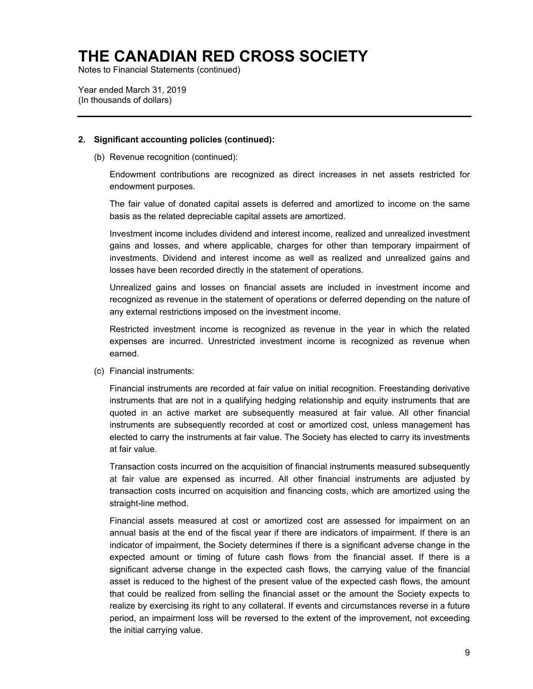Notes to Financial Statements (continued)

Year ended March 31, 2019 (In thousands of dollars)

#### **2. Significant accounting policies (continued):**

(b) Revenue recognition (continued):

Endowment contributions are recognized as direct increases in net assets restricted for endowment purposes.

The fair value of donated capital assets is deferred and amortized to income on the same basis as the related depreciable capital assets are amortized.

Investment income includes dividend and interest income, realized and unrealized investment gains and losses, and where applicable, charges for other than temporary impairment of investments. Dividend and interest income as well as realized and unrealized gains and losses have been recorded directly in the statement of operations.

Unrealized gains and losses on financial assets are included in investment income and recognized as revenue in the statement of operations or deferred depending on the nature of any external restrictions imposed on the investment income.

Restricted investment income is recognized as revenue in the year in which the related expenses are incurred. Unrestricted investment income is recognized as revenue when earned.

(c) Financial instruments:

Financial instruments are recorded at fair value on initial recognition. Freestanding derivative instruments that are not in a qualifying hedging relationship and equity instruments that are quoted in an active market are subsequently measured at fair value. All other financial instruments are subsequently recorded at cost or amortized cost, unless management has elected to carry the instruments at fair value. The Society has elected to carry its investments at fair value.

Transaction costs incurred on the acquisition of financial instruments measured subsequently at fair value are expensed as incurred. All other financial instruments are adjusted by transaction costs incurred on acquisition and financing costs, which are amortized using the straight-line method.

Financial assets measured at cost or amortized cost are assessed for impairment on an annual basis at the end of the fiscal year if there are indicators of impairment. If there is an indicator of impairment, the Society determines if there is a significant adverse change in the expected amount or timing of future cash flows from the financial asset. If there is a significant adverse change in the expected cash flows, the carrying value of the financial asset is reduced to the highest of the present value of the expected cash flows, the amount that could be realized from selling the financial asset or the amount the Society expects to realize by exercising its right to any collateral. If events and circumstances reverse in a future period, an impairment loss will be reversed to the extent of the improvement, not exceeding the initial carrying value.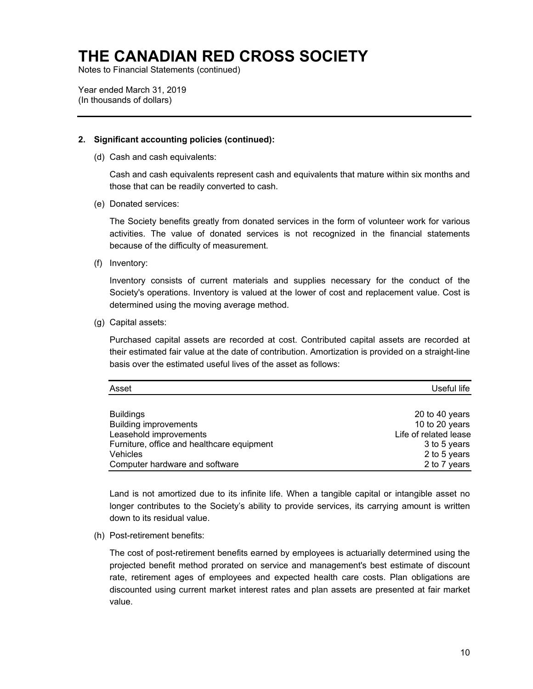Notes to Financial Statements (continued)

Year ended March 31, 2019 (In thousands of dollars)

#### **2. Significant accounting policies (continued):**

(d) Cash and cash equivalents:

Cash and cash equivalents represent cash and equivalents that mature within six months and those that can be readily converted to cash.

(e) Donated services:

The Society benefits greatly from donated services in the form of volunteer work for various activities. The value of donated services is not recognized in the financial statements because of the difficulty of measurement.

(f) Inventory:

Inventory consists of current materials and supplies necessary for the conduct of the Society's operations. Inventory is valued at the lower of cost and replacement value. Cost is determined using the moving average method.

(g) Capital assets:

Purchased capital assets are recorded at cost. Contributed capital assets are recorded at their estimated fair value at the date of contribution. Amortization is provided on a straight-line basis over the estimated useful lives of the asset as follows:

| Asset                                      | Useful life           |
|--------------------------------------------|-----------------------|
|                                            |                       |
| <b>Buildings</b>                           | 20 to 40 years        |
| <b>Building improvements</b>               | 10 to 20 years        |
| Leasehold improvements                     | Life of related lease |
| Furniture, office and healthcare equipment | 3 to 5 years          |
| <b>Vehicles</b>                            | 2 to 5 years          |
| Computer hardware and software             | 2 to 7 years          |

Land is not amortized due to its infinite life. When a tangible capital or intangible asset no longer contributes to the Society's ability to provide services, its carrying amount is written down to its residual value.

(h) Post-retirement benefits:

The cost of post-retirement benefits earned by employees is actuarially determined using the projected benefit method prorated on service and management's best estimate of discount rate, retirement ages of employees and expected health care costs. Plan obligations are discounted using current market interest rates and plan assets are presented at fair market value.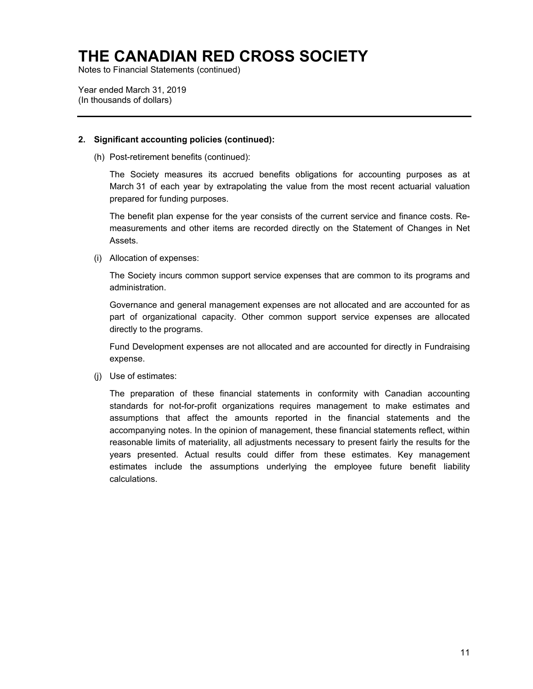Notes to Financial Statements (continued)

Year ended March 31, 2019 (In thousands of dollars)

#### **2. Significant accounting policies (continued):**

(h) Post-retirement benefits (continued):

The Society measures its accrued benefits obligations for accounting purposes as at March 31 of each year by extrapolating the value from the most recent actuarial valuation prepared for funding purposes.

The benefit plan expense for the year consists of the current service and finance costs. Remeasurements and other items are recorded directly on the Statement of Changes in Net Assets.

(i) Allocation of expenses:

The Society incurs common support service expenses that are common to its programs and administration.

Governance and general management expenses are not allocated and are accounted for as part of organizational capacity. Other common support service expenses are allocated directly to the programs.

Fund Development expenses are not allocated and are accounted for directly in Fundraising expense.

(j) Use of estimates:

The preparation of these financial statements in conformity with Canadian accounting standards for not-for-profit organizations requires management to make estimates and assumptions that affect the amounts reported in the financial statements and the accompanying notes. In the opinion of management, these financial statements reflect, within reasonable limits of materiality, all adjustments necessary to present fairly the results for the years presented. Actual results could differ from these estimates. Key management estimates include the assumptions underlying the employee future benefit liability calculations.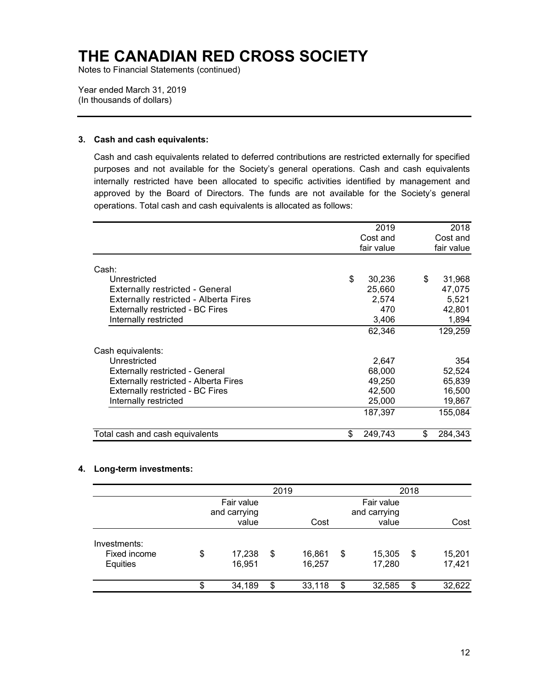Notes to Financial Statements (continued)

Year ended March 31, 2019 (In thousands of dollars)

#### **3. Cash and cash equivalents:**

Cash and cash equivalents related to deferred contributions are restricted externally for specified purposes and not available for the Society's general operations. Cash and cash equivalents internally restricted have been allocated to specific activities identified by management and approved by the Board of Directors. The funds are not available for the Society's general operations. Total cash and cash equivalents is allocated as follows:

|                                              | 2019          | 2018          |
|----------------------------------------------|---------------|---------------|
|                                              | Cost and      | Cost and      |
|                                              | fair value    | fair value    |
|                                              |               |               |
| Cash:                                        |               |               |
| Unrestricted                                 | \$<br>30,236  | \$<br>31,968  |
| <b>Externally restricted - General</b>       | 25,660        | 47,075        |
| <b>Externally restricted - Alberta Fires</b> | 2,574         | 5,521         |
| <b>Externally restricted - BC Fires</b>      | 470           | 42,801        |
| Internally restricted                        | 3,406         | 1,894         |
|                                              | 62.346        | 129,259       |
| Cash equivalents:                            |               |               |
| Unrestricted                                 | 2,647         | 354           |
| <b>Externally restricted - General</b>       | 68,000        | 52,524        |
| <b>Externally restricted - Alberta Fires</b> | 49,250        | 65,839        |
| <b>Externally restricted - BC Fires</b>      | 42,500        | 16,500        |
| Internally restricted                        | 25,000        | 19,867        |
|                                              | 187,397       | 155,084       |
| Total cash and cash equivalents              | \$<br>249,743 | \$<br>284,343 |

#### **4. Long-term investments:**

|                                          |                                     | 2019 |                  | 2018                                |    |                  |  |  |
|------------------------------------------|-------------------------------------|------|------------------|-------------------------------------|----|------------------|--|--|
|                                          | Fair value<br>and carrying<br>value |      | Cost             | Fair value<br>and carrying<br>value |    | Cost             |  |  |
| Investments:<br>Fixed income<br>Equities | \$<br>17,238<br>16,951              | \$   | 16,861<br>16,257 | \$<br>15,305<br>17,280              | \$ | 15,201<br>17,421 |  |  |
|                                          | \$<br>34,189                        | \$   | 33,118           | \$<br>32,585                        | \$ | 32,622           |  |  |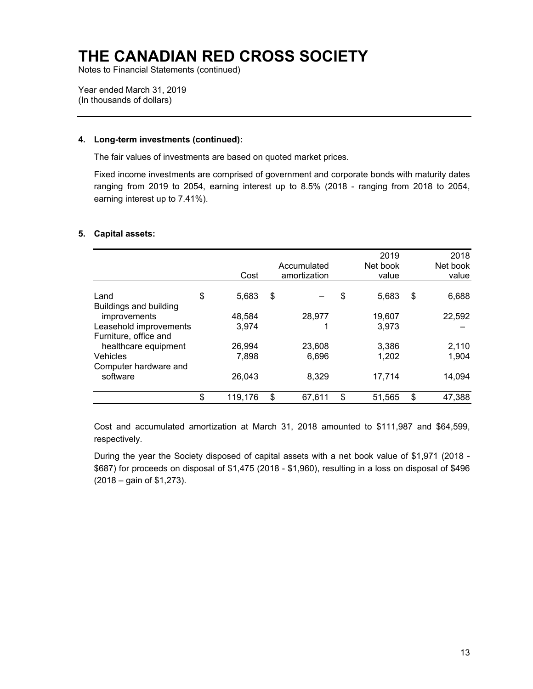Notes to Financial Statements (continued)

Year ended March 31, 2019 (In thousands of dollars)

#### **4. Long-term investments (continued):**

The fair values of investments are based on quoted market prices.

Fixed income investments are comprised of government and corporate bonds with maturity dates ranging from 2019 to 2054, earning interest up to 8.5% (2018 - ranging from 2018 to 2054, earning interest up to 7.41%).

#### **5. Capital assets:**

|                                  | Cost          | Accumulated<br>amortization | 2019<br>Net book<br>value | 2018<br>Net book<br>value |
|----------------------------------|---------------|-----------------------------|---------------------------|---------------------------|
| Land<br>Buildings and building   | \$<br>5,683   | \$                          | \$<br>5,683               | \$<br>6,688               |
| improvements                     | 48,584        | 28,977                      | 19,607                    | 22,592                    |
| Leasehold improvements           | 3,974         |                             | 3,973                     |                           |
| Furniture, office and            |               |                             |                           |                           |
| healthcare equipment<br>Vehicles | 26,994        | 23,608                      | 3,386                     | 2,110                     |
| Computer hardware and            | 7,898         | 6,696                       | 1,202                     | 1,904                     |
| software                         | 26,043        | 8,329                       | 17,714                    | 14,094                    |
|                                  | \$<br>119,176 | \$<br>67,611                | \$<br>51,565              | \$<br>47,388              |

Cost and accumulated amortization at March 31, 2018 amounted to \$111,987 and \$64,599, respectively.

During the year the Society disposed of capital assets with a net book value of \$1,971 (2018 - \$687) for proceeds on disposal of \$1,475 (2018 - \$1,960), resulting in a loss on disposal of \$496 (2018 – gain of \$1,273).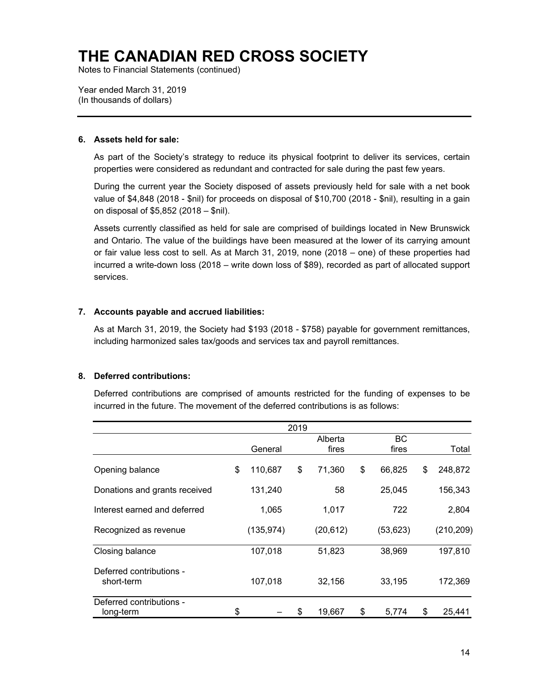Notes to Financial Statements (continued)

Year ended March 31, 2019 (In thousands of dollars)

#### **6. Assets held for sale:**

As part of the Society's strategy to reduce its physical footprint to deliver its services, certain properties were considered as redundant and contracted for sale during the past few years.

During the current year the Society disposed of assets previously held for sale with a net book value of \$4,848 (2018 - \$nil) for proceeds on disposal of \$10,700 (2018 - \$nil), resulting in a gain on disposal of \$5,852 (2018 – \$nil).

Assets currently classified as held for sale are comprised of buildings located in New Brunswick and Ontario. The value of the buildings have been measured at the lower of its carrying amount or fair value less cost to sell. As at March 31, 2019, none (2018 – one) of these properties had incurred a write-down loss (2018 – write down loss of \$89), recorded as part of allocated support services.

#### **7. Accounts payable and accrued liabilities:**

As at March 31, 2019, the Society had \$193 (2018 - \$758) payable for government remittances, including harmonized sales tax/goods and services tax and payroll remittances.

#### **8. Deferred contributions:**

Deferred contributions are comprised of amounts restricted for the funding of expenses to be incurred in the future. The movement of the deferred contributions is as follows:

|                                        |               | 2019 |                  |                    |    |            |
|----------------------------------------|---------------|------|------------------|--------------------|----|------------|
|                                        | General       |      | Alberta<br>fires | <b>BC</b><br>fires |    | Total      |
| Opening balance                        | \$<br>110,687 | \$   | 71,360           | \$<br>66,825       | \$ | 248,872    |
| Donations and grants received          | 131,240       |      | 58               | 25,045             |    | 156,343    |
| Interest earned and deferred           | 1,065         |      | 1,017            | 722                |    | 2,804      |
| Recognized as revenue                  | (135, 974)    |      | (20, 612)        | (53, 623)          |    | (210, 209) |
| Closing balance                        | 107,018       |      | 51,823           | 38,969             |    | 197,810    |
| Deferred contributions -<br>short-term | 107,018       |      | 32,156           | 33,195             |    | 172,369    |
| Deferred contributions -<br>long-term  | \$            | \$   | 19,667           | \$<br>5,774        | S  | 25,441     |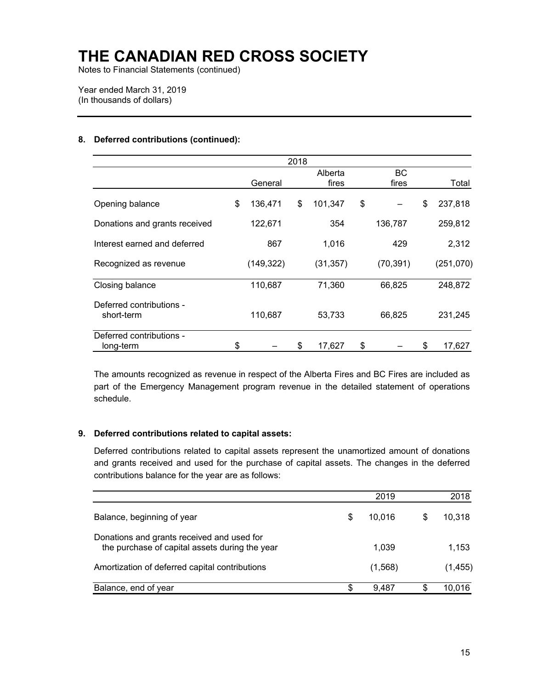Notes to Financial Statements (continued)

Year ended March 31, 2019 (In thousands of dollars)

#### **8. Deferred contributions (continued):**

|                                        |               | 2018 |           |           |    |           |
|----------------------------------------|---------------|------|-----------|-----------|----|-----------|
|                                        |               |      | Alberta   | <b>BC</b> |    |           |
|                                        | General       |      | fires     | fires     |    | Total     |
| Opening balance                        | \$<br>136,471 | \$   | 101,347   | \$        | \$ | 237,818   |
| Donations and grants received          | 122,671       |      | 354       | 136,787   |    | 259,812   |
| Interest earned and deferred           | 867           |      | 1,016     | 429       |    | 2,312     |
| Recognized as revenue                  | (149, 322)    |      | (31, 357) | (70, 391) |    | (251,070) |
| Closing balance                        | 110,687       |      | 71,360    | 66,825    |    | 248,872   |
| Deferred contributions -<br>short-term | 110,687       |      | 53,733    | 66,825    |    | 231,245   |
| Deferred contributions -<br>long-term  | \$            | \$   | 17,627    | \$        | S  | 17,627    |

The amounts recognized as revenue in respect of the Alberta Fires and BC Fires are included as part of the Emergency Management program revenue in the detailed statement of operations schedule.

#### **9. Deferred contributions related to capital assets:**

Deferred contributions related to capital assets represent the unamortized amount of donations and grants received and used for the purchase of capital assets. The changes in the deferred contributions balance for the year are as follows:

|                                                                                              |    | 2019    |   | 2018     |
|----------------------------------------------------------------------------------------------|----|---------|---|----------|
| Balance, beginning of year                                                                   | \$ | 10,016  | S | 10,318   |
| Donations and grants received and used for<br>the purchase of capital assets during the year |    | 1.039   |   | 1,153    |
| Amortization of deferred capital contributions                                               |    | (1,568) |   | (1, 455) |
| Balance, end of year                                                                         | S  | 9.487   |   | 10.016   |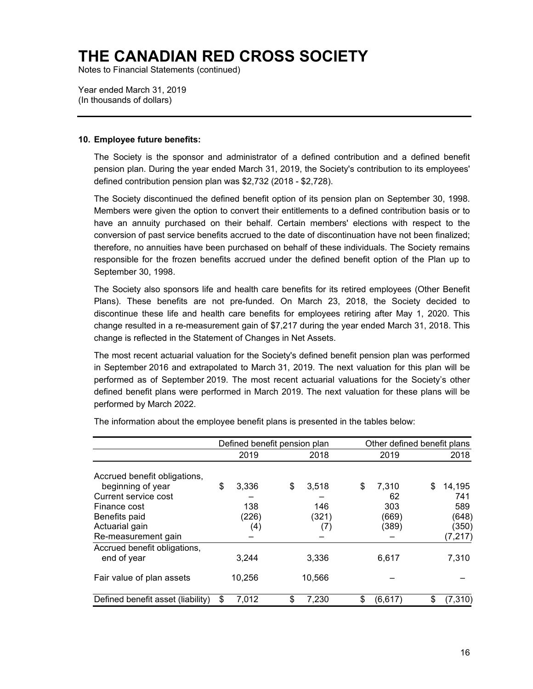Notes to Financial Statements (continued)

Year ended March 31, 2019 (In thousands of dollars)

#### **10. Employee future benefits:**

The Society is the sponsor and administrator of a defined contribution and a defined benefit pension plan. During the year ended March 31, 2019, the Society's contribution to its employees' defined contribution pension plan was \$2,732 (2018 - \$2,728).

The Society discontinued the defined benefit option of its pension plan on September 30, 1998. Members were given the option to convert their entitlements to a defined contribution basis or to have an annuity purchased on their behalf. Certain members' elections with respect to the conversion of past service benefits accrued to the date of discontinuation have not been finalized; therefore, no annuities have been purchased on behalf of these individuals. The Society remains responsible for the frozen benefits accrued under the defined benefit option of the Plan up to September 30, 1998.

The Society also sponsors life and health care benefits for its retired employees (Other Benefit Plans). These benefits are not pre-funded. On March 23, 2018, the Society decided to discontinue these life and health care benefits for employees retiring after May 1, 2020. This change resulted in a re-measurement gain of \$7,217 during the year ended March 31, 2018. This change is reflected in the Statement of Changes in Net Assets.

The most recent actuarial valuation for the Society's defined benefit pension plan was performed in September 2016 and extrapolated to March 31, 2019. The next valuation for this plan will be performed as of September 2019. The most recent actuarial valuations for the Society's other defined benefit plans were performed in March 2019. The next valuation for these plans will be performed by March 2022.

|                                   |             | Defined benefit pension plan |                | Other defined benefit plans |
|-----------------------------------|-------------|------------------------------|----------------|-----------------------------|
|                                   | 2019        | 2018                         | 2019           | 2018                        |
| Accrued benefit obligations,      |             |                              |                |                             |
| beginning of year                 | \$<br>3,336 | \$<br>3,518                  | \$<br>7.310    | \$<br>14,195                |
| Current service cost              |             |                              | 62             | 741                         |
| Finance cost                      | 138         | 146                          | 303            | 589                         |
| Benefits paid                     | (226)       | (321)                        | (669)          | (648)                       |
| Actuarial gain                    | (4)         | (7)                          | (389)          | (350)                       |
| Re-measurement gain               |             |                              |                | (7,217)                     |
| Accrued benefit obligations,      |             |                              |                |                             |
| end of year                       | 3,244       | 3,336                        | 6,617          | 7,310                       |
| Fair value of plan assets         | 10,256      | 10,566                       |                |                             |
| Defined benefit asset (liability) | 7,012       | 7,230                        | \$<br>(6, 617) | \$<br>(7,310)               |

The information about the employee benefit plans is presented in the tables below: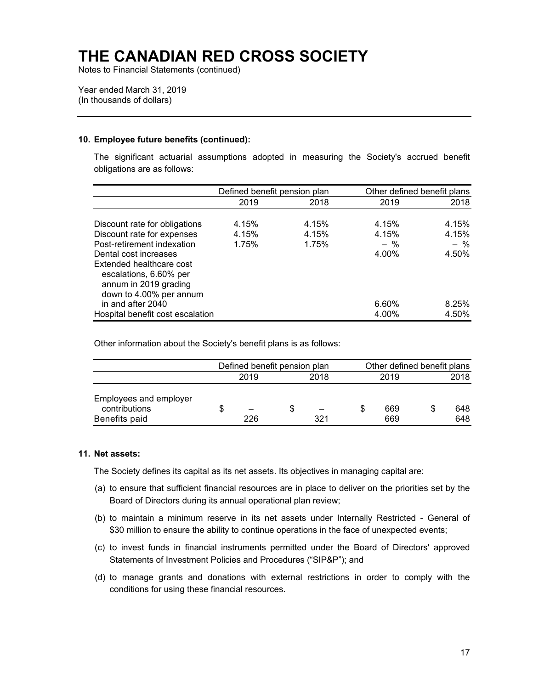Notes to Financial Statements (continued)

Year ended March 31, 2019 (In thousands of dollars)

#### **10. Employee future benefits (continued):**

The significant actuarial assumptions adopted in measuring the Society's accrued benefit obligations are as follows:

|                                  | Defined benefit pension plan |       | Other defined benefit plans |       |
|----------------------------------|------------------------------|-------|-----------------------------|-------|
|                                  | 2019                         | 2018  | 2019                        | 2018  |
|                                  |                              |       |                             |       |
| Discount rate for obligations    | 4.15%                        | 4.15% | 4.15%                       | 4.15% |
| Discount rate for expenses       | 4.15%                        | 4.15% | 4.15%                       | 4.15% |
| Post-retirement indexation       | 1.75%                        | 1.75% | $-$ %                       | $-$ % |
| Dental cost increases            |                              |       | 4.00%                       | 4.50% |
| Extended healthcare cost         |                              |       |                             |       |
| escalations, 6.60% per           |                              |       |                             |       |
| annum in 2019 grading            |                              |       |                             |       |
| down to 4.00% per annum          |                              |       |                             |       |
| in and after 2040                |                              |       | 6.60%                       | 8.25% |
| Hospital benefit cost escalation |                              |       | 4.00%                       | 4.50% |

Other information about the Society's benefit plans is as follows:

|                                                          |      | Defined benefit pension plan |  |     | Other defined benefit plans |            |      |            |  |  |      |
|----------------------------------------------------------|------|------------------------------|--|-----|-----------------------------|------------|------|------------|--|--|------|
|                                                          | 2019 |                              |  |     |                             |            | 2018 |            |  |  | 2018 |
| Employees and employer<br>contributions<br>Benefits paid |      | 226                          |  | 321 |                             | 669<br>669 |      | 648<br>648 |  |  |      |

#### **11. Net assets:**

The Society defines its capital as its net assets. Its objectives in managing capital are:

- (a) to ensure that sufficient financial resources are in place to deliver on the priorities set by the Board of Directors during its annual operational plan review;
- (b) to maintain a minimum reserve in its net assets under Internally Restricted General of \$30 million to ensure the ability to continue operations in the face of unexpected events;
- (c) to invest funds in financial instruments permitted under the Board of Directors' approved Statements of Investment Policies and Procedures ("SIP&P"); and
- (d) to manage grants and donations with external restrictions in order to comply with the conditions for using these financial resources.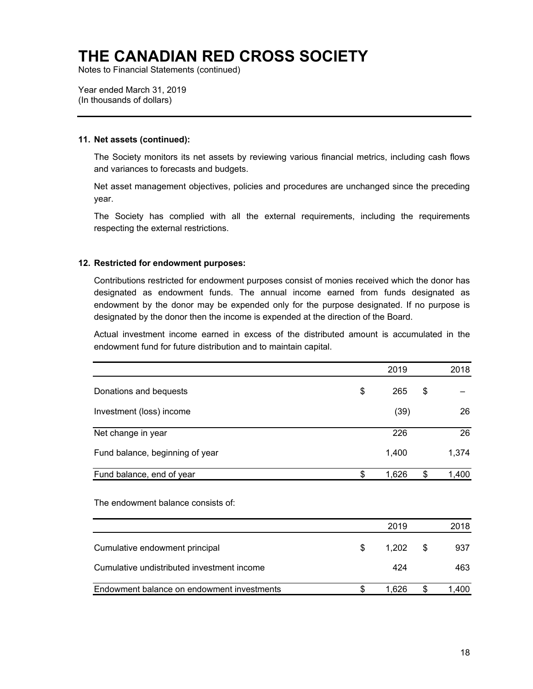Notes to Financial Statements (continued)

Year ended March 31, 2019 (In thousands of dollars)

#### **11. Net assets (continued):**

The Society monitors its net assets by reviewing various financial metrics, including cash flows and variances to forecasts and budgets.

Net asset management objectives, policies and procedures are unchanged since the preceding year.

The Society has complied with all the external requirements, including the requirements respecting the external restrictions.

#### **12. Restricted for endowment purposes:**

Contributions restricted for endowment purposes consist of monies received which the donor has designated as endowment funds. The annual income earned from funds designated as endowment by the donor may be expended only for the purpose designated. If no purpose is designated by the donor then the income is expended at the direction of the Board.

Actual investment income earned in excess of the distributed amount is accumulated in the endowment fund for future distribution and to maintain capital.

|                                            | 2019        | 2018        |
|--------------------------------------------|-------------|-------------|
| Donations and bequests                     | \$<br>265   | \$          |
| Investment (loss) income                   | (39)        | 26          |
| Net change in year                         | 226         | 26          |
| Fund balance, beginning of year            | 1,400       | 1,374       |
| Fund balance, end of year                  | \$<br>1,626 | \$<br>1,400 |
| The endowment balance consists of:         |             |             |
|                                            | 2019        | 2018        |
| Cumulative endowment principal             | \$<br>1,202 | \$<br>937   |
| Cumulative undistributed investment income | 424         | 463         |
| Endowment balance on endowment investments | \$<br>1,626 | \$<br>1,400 |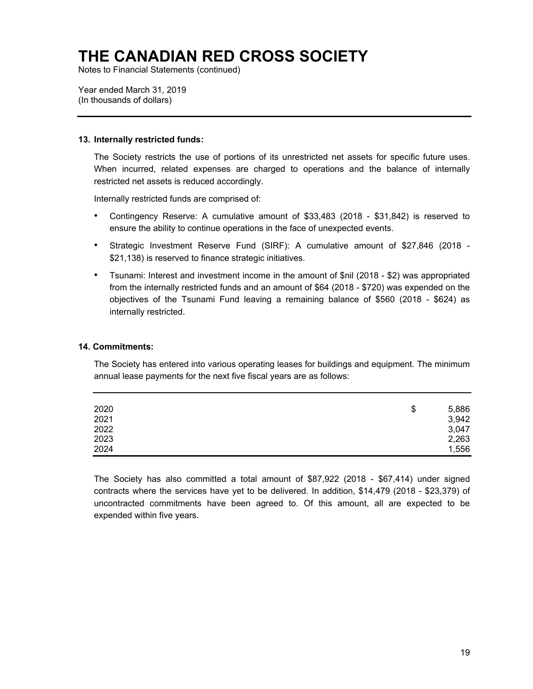Notes to Financial Statements (continued)

Year ended March 31, 2019 (In thousands of dollars)

#### **13. Internally restricted funds:**

The Society restricts the use of portions of its unrestricted net assets for specific future uses. When incurred, related expenses are charged to operations and the balance of internally restricted net assets is reduced accordingly.

Internally restricted funds are comprised of:

- Contingency Reserve: A cumulative amount of \$33,483 (2018 \$31,842) is reserved to ensure the ability to continue operations in the face of unexpected events.
- Strategic Investment Reserve Fund (SIRF): A cumulative amount of \$27,846 (2018 \$21,138) is reserved to finance strategic initiatives.
- Tsunami: Interest and investment income in the amount of \$nil (2018 \$2) was appropriated from the internally restricted funds and an amount of \$64 (2018 - \$720) was expended on the objectives of the Tsunami Fund leaving a remaining balance of \$560 (2018 - \$624) as internally restricted.

#### **14. Commitments:**

The Society has entered into various operating leases for buildings and equipment. The minimum annual lease payments for the next five fiscal years are as follows:

| 2020 | \$<br>5,886 |
|------|-------------|
| 2021 | 3,942       |
| 2022 | 3,047       |
| 2023 | 2,263       |
| 2024 | 1,556       |

The Society has also committed a total amount of \$87,922 (2018 - \$67,414) under signed contracts where the services have yet to be delivered. In addition, \$14,479 (2018 - \$23,379) of uncontracted commitments have been agreed to. Of this amount, all are expected to be expended within five years.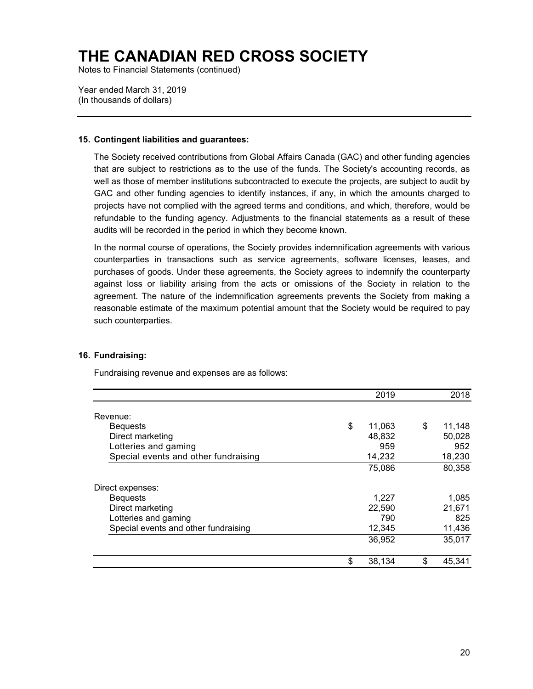Notes to Financial Statements (continued)

Year ended March 31, 2019 (In thousands of dollars)

#### **15. Contingent liabilities and guarantees:**

The Society received contributions from Global Affairs Canada (GAC) and other funding agencies that are subject to restrictions as to the use of the funds. The Society's accounting records, as well as those of member institutions subcontracted to execute the projects, are subject to audit by GAC and other funding agencies to identify instances, if any, in which the amounts charged to projects have not complied with the agreed terms and conditions, and which, therefore, would be refundable to the funding agency. Adjustments to the financial statements as a result of these audits will be recorded in the period in which they become known.

In the normal course of operations, the Society provides indemnification agreements with various counterparties in transactions such as service agreements, software licenses, leases, and purchases of goods. Under these agreements, the Society agrees to indemnify the counterparty against loss or liability arising from the acts or omissions of the Society in relation to the agreement. The nature of the indemnification agreements prevents the Society from making a reasonable estimate of the maximum potential amount that the Society would be required to pay such counterparties.

#### **16. Fundraising:**

Fundraising revenue and expenses are as follows:

|                                      | 2019         | 2018         |
|--------------------------------------|--------------|--------------|
| Revenue:                             |              |              |
| <b>Bequests</b>                      | \$<br>11,063 | \$<br>11,148 |
| Direct marketing                     | 48,832       | 50,028       |
| Lotteries and gaming                 | 959          | 952          |
| Special events and other fundraising | 14,232       | 18,230       |
|                                      | 75,086       | 80,358       |
| Direct expenses:                     |              |              |
| <b>Bequests</b>                      | 1,227        | 1,085        |
| Direct marketing                     | 22,590       | 21,671       |
| Lotteries and gaming                 | 790          | 825          |
| Special events and other fundraising | 12,345       | 11,436       |
|                                      | 36,952       | 35,017       |
|                                      | \$<br>38,134 | \$<br>45,341 |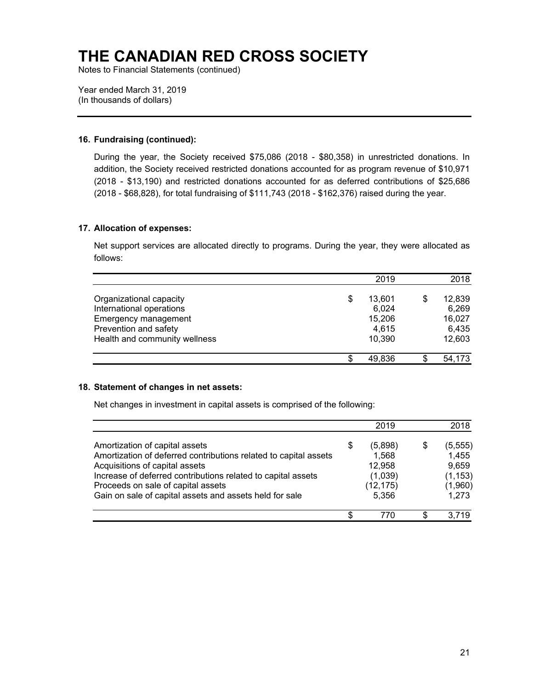Notes to Financial Statements (continued)

Year ended March 31, 2019 (In thousands of dollars)

#### **16. Fundraising (continued):**

During the year, the Society received \$75,086 (2018 - \$80,358) in unrestricted donations. In addition, the Society received restricted donations accounted for as program revenue of \$10,971 (2018 - \$13,190) and restricted donations accounted for as deferred contributions of \$25,686 (2018 - \$68,828), for total fundraising of \$111,743 (2018 - \$162,376) raised during the year.

#### **17. Allocation of expenses:**

Net support services are allocated directly to programs. During the year, they were allocated as follows:

|                               |     | 2019   | 2018   |
|-------------------------------|-----|--------|--------|
| Organizational capacity       | S   | 13.601 | 12,839 |
| International operations      |     | 6,024  | 6,269  |
| Emergency management          |     | 15,206 | 16,027 |
| Prevention and safety         |     | 4,615  | 6,435  |
| Health and community wellness |     | 10,390 | 12,603 |
|                               | \$. | 49.836 | 54,173 |

#### **18. Statement of changes in net assets:**

Net changes in investment in capital assets is comprised of the following:

|                                                                  |    | 2019      | 2018     |
|------------------------------------------------------------------|----|-----------|----------|
| Amortization of capital assets                                   | \$ | (5,898)   | (5, 555) |
| Amortization of deferred contributions related to capital assets |    | 1,568     | 1,455    |
| Acquisitions of capital assets                                   |    | 12,958    | 9,659    |
| Increase of deferred contributions related to capital assets     |    | (1,039)   | (1, 153) |
| Proceeds on sale of capital assets                               |    | (12, 175) | (1,960)  |
| Gain on sale of capital assets and assets held for sale          |    | 5,356     | 1,273    |
|                                                                  | S  | 770       | 3 719    |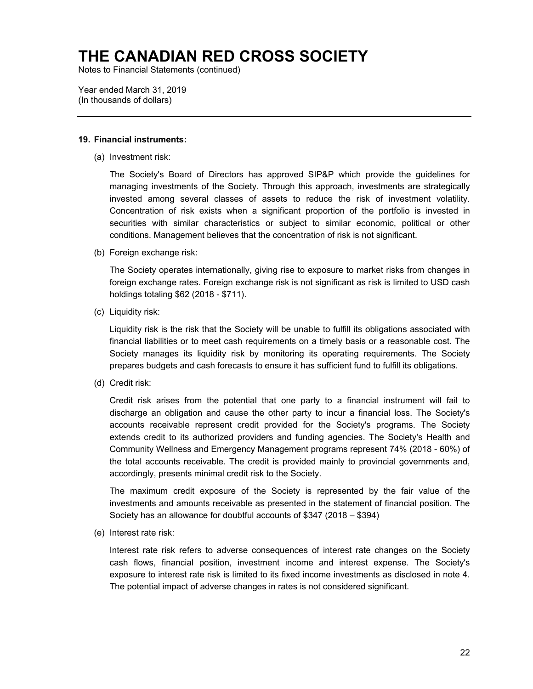Notes to Financial Statements (continued)

Year ended March 31, 2019 (In thousands of dollars)

#### **19. Financial instruments:**

(a) Investment risk:

The Society's Board of Directors has approved SIP&P which provide the guidelines for managing investments of the Society. Through this approach, investments are strategically invested among several classes of assets to reduce the risk of investment volatility. Concentration of risk exists when a significant proportion of the portfolio is invested in securities with similar characteristics or subject to similar economic, political or other conditions. Management believes that the concentration of risk is not significant.

(b) Foreign exchange risk:

The Society operates internationally, giving rise to exposure to market risks from changes in foreign exchange rates. Foreign exchange risk is not significant as risk is limited to USD cash holdings totaling \$62 (2018 - \$711).

(c) Liquidity risk:

Liquidity risk is the risk that the Society will be unable to fulfill its obligations associated with financial liabilities or to meet cash requirements on a timely basis or a reasonable cost. The Society manages its liquidity risk by monitoring its operating requirements. The Society prepares budgets and cash forecasts to ensure it has sufficient fund to fulfill its obligations.

(d) Credit risk:

Credit risk arises from the potential that one party to a financial instrument will fail to discharge an obligation and cause the other party to incur a financial loss. The Society's accounts receivable represent credit provided for the Society's programs. The Society extends credit to its authorized providers and funding agencies. The Society's Health and Community Wellness and Emergency Management programs represent 74% (2018 - 60%) of the total accounts receivable. The credit is provided mainly to provincial governments and, accordingly, presents minimal credit risk to the Society.

The maximum credit exposure of the Society is represented by the fair value of the investments and amounts receivable as presented in the statement of financial position. The Society has an allowance for doubtful accounts of \$347 (2018 – \$394)

(e) Interest rate risk:

Interest rate risk refers to adverse consequences of interest rate changes on the Society cash flows, financial position, investment income and interest expense. The Society's exposure to interest rate risk is limited to its fixed income investments as disclosed in note 4. The potential impact of adverse changes in rates is not considered significant.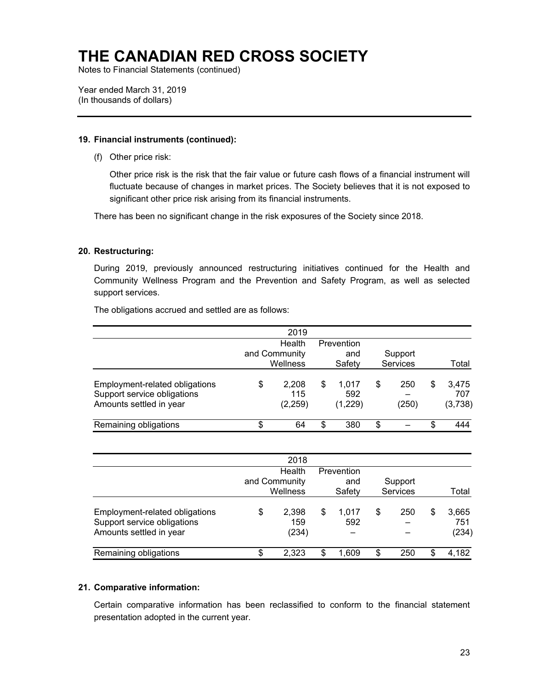Notes to Financial Statements (continued)

Year ended March 31, 2019 (In thousands of dollars)

#### **19. Financial instruments (continued):**

(f) Other price risk:

Other price risk is the risk that the fair value or future cash flows of a financial instrument will fluctuate because of changes in market prices. The Society believes that it is not exposed to significant other price risk arising from its financial instruments.

There has been no significant change in the risk exposures of the Society since 2018.

#### **20. Restructuring:**

During 2019, previously announced restructuring initiatives continued for the Health and Community Wellness Program and the Prevention and Safety Program, as well as selected support services.

The obligations accrued and settled are as follows:

|                                                                                          |    | 2019                                |   |                             |                     |   |                         |
|------------------------------------------------------------------------------------------|----|-------------------------------------|---|-----------------------------|---------------------|---|-------------------------|
|                                                                                          |    | Health<br>and Community<br>Wellness |   | Prevention<br>and<br>Safety | Support<br>Services |   | Total                   |
| Employment-related obligations<br>Support service obligations<br>Amounts settled in year | \$ | 2,208<br>115<br>(2, 259)            | S | 1.017<br>592<br>(1,229)     | \$<br>250<br>(250)  | S | 3,475<br>707<br>(3,738) |
| Remaining obligations                                                                    | S  | 64                                  | S | 380                         | \$                  | S | 444                     |

|                                                                                          |                                     | 2018                  |                             |              |                     |   |                       |
|------------------------------------------------------------------------------------------|-------------------------------------|-----------------------|-----------------------------|--------------|---------------------|---|-----------------------|
|                                                                                          | Health<br>and Community<br>Wellness |                       | Prevention<br>and<br>Safety |              | Support<br>Services |   | Total                 |
| Employment-related obligations<br>Support service obligations<br>Amounts settled in year | S                                   | 2,398<br>159<br>(234) | \$                          | 1.017<br>592 | \$<br>250           | S | 3,665<br>751<br>(234) |
| Remaining obligations                                                                    | \$                                  | 2.323                 |                             | 1.609        | \$<br>250           | S | 4,182                 |

#### **21. Comparative information:**

Certain comparative information has been reclassified to conform to the financial statement presentation adopted in the current year.